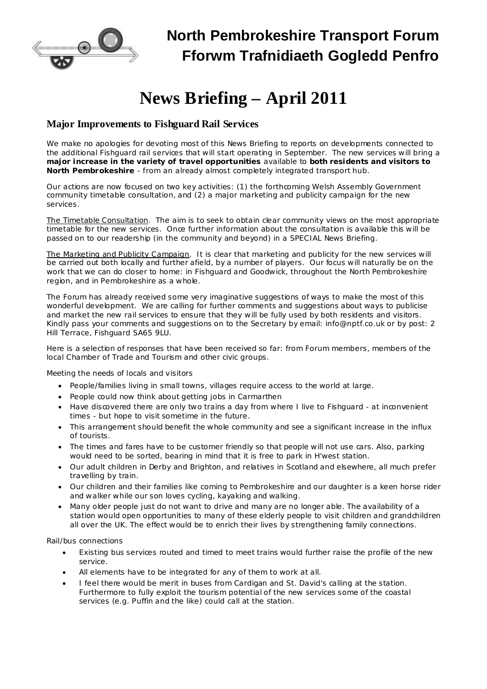

## **North Pembrokeshire Transport Forum Fforwm Trafnidiaeth Gogledd Penfro**

# **News Briefing – April 2011**

## **Major Improvements to Fishguard Rail Services**

We make no apologies for devoting most of this News Briefing to reports on developments connected to the additional Fishguard rail services that will start operating in September. The new services will bring a **major increase in the variety of travel opportunities** available to **both residents and visitors to North Pembrokeshire** - from an already almost completely integrated transport hub.

Our actions are now focused on two key activities: (1) the forthcoming Welsh Assembly Government community timetable consultation, and (2) a major marketing and publicity campaign for the new services.

The Timetable Consultation. The aim is to seek to obtain clear community views on the most appropriate timetable for the new services. Once further information about the consultation is available this will be passed on to our readership (in the community and beyond) in a SPECIAL News Briefing.

The Marketing and Publicity Campaign. It is clear that marketing and publicity for the new services will be carried out both locally and further afield, by a number of players. Our focus will naturally be on the work that we can do closer to home: in Fishguard and Goodwick, throughout the North Pembrokeshire region, and in Pembrokeshire as a whole.

The Forum has already received some very imaginative suggestions of ways to make the most of this wonderful development. We are calling for further comments and suggestions about ways to publicise and market the new rail services to ensure that they will be fully used by both residents and visitors. Kindly pass your comments and suggestions on to the Secretary by email: [info@nptf.co.uk](mailto:info@nptf.co.uk) or by post: 2 Hill Terrace, Fishguard SA65 9LU.

Here is a selection of responses that have been received so far: from Forum members, members of the local Chamber of Trade and Tourism and other civic groups.

#### *Meeting the needs of locals and visitors*

- · People/families living in small towns, villages require access to the world at large.
- · People could now think about getting jobs in Carmarthen
- · Have discovered there are only two trains a day from where I live to Fishguard at inconvenient times - but hope to visit sometime in the future.
- · This arrangement should benefit the whole community and see a significant increase in the influx of tourists.
- · The times and fares have to be customer friendly so that people will not use cars. Also, parking would need to be sorted, bearing in mind that it is free to park in H'west station.
- · Our adult children in Derby and Brighton, and relatives in Scotland and elsewhere, all much prefer travelling by train.
- · Our children and their families like coming to Pembrokeshire and our daughter is a keen horse rider and walker while our son loves cycling, kayaking and walking.
- · Many older people just do not want to drive and many are no longer able. The availability of a station would open opportunities to many of these elderly people to visit children and grandchildren all over the UK. The effect would be to enrich their lives by strengthening family connections.

#### *Rail/bus connections*

- · Existing bus services routed and timed to meet trains would further raise the profile of the new service.
- All elements have to be integrated for any of them to work at all.
- · I feel there would be merit in buses from Cardigan and St. David's calling at the station. Furthermore to fully exploit the tourism potential of the new services some of the coastal services (e.g. Puffin and the like) could call at the station.